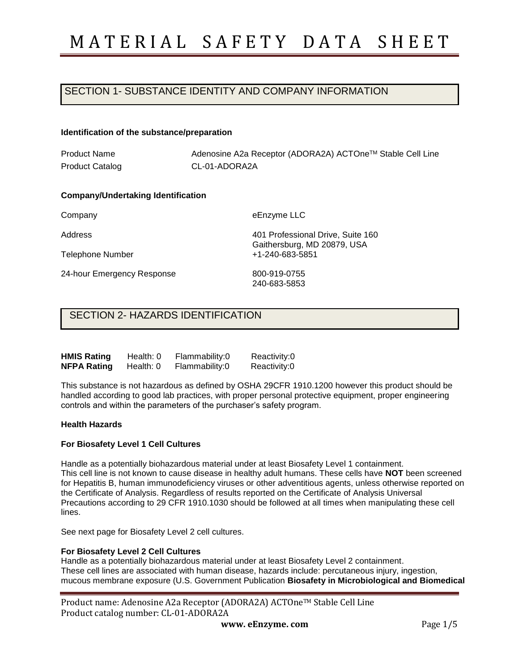## SECTION 1- SUBSTANCE IDENTITY AND COMPANY INFORMATION

#### **Identification of the substance/preparation**

Product Name Product Catalog Adenosine A2a Receptor (ADORA2A) ACTOneTM Stable Cell Line CL-01-ADORA2A

#### **Company/Undertaking Identification**

Company

Address

Telephone Number

24-hour Emergency Response

eEnzyme LLC

401 Professional Drive, Suite 160 Gaithersburg, MD 20879, USA +1-240-683-5851

800-919-0755 240-683-5853

### SECTION 2- HAZARDS IDENTIFICATION

| <b>HMIS Rating</b> | Health: 0 | Flammability:0 | Reactivity:0 |
|--------------------|-----------|----------------|--------------|
| <b>NFPA Rating</b> | Health: 0 | Flammability:0 | Reactivity:0 |

This substance is not hazardous as defined by OSHA 29CFR 1910.1200 however this product should be handled according to good lab practices, with proper personal protective equipment, proper engineering controls and within the parameters of the purchaser's safety program.

#### **Health Hazards**

#### **For Biosafety Level 1 Cell Cultures**

Handle as a potentially biohazardous material under at least Biosafety Level 1 containment. This cell line is not known to cause disease in healthy adult humans. These cells have **NOT** been screened for Hepatitis B, human immunodeficiency viruses or other adventitious agents, unless otherwise reported on the Certificate of Analysis. Regardless of results reported on the Certificate of Analysis Universal Precautions according to 29 CFR 1910.1030 should be followed at all times when manipulating these cell lines.

See next page for Biosafety Level 2 cell cultures.

#### **For Biosafety Level 2 Cell Cultures**

Handle as a potentially biohazardous material under at least Biosafety Level 2 containment. These cell lines are associated with human disease, hazards include: percutaneous injury, ingestion, mucous membrane exposure (U.S. Government Publication **Biosafety in Microbiological and Biomedical** 

| Product name: Adenosine A2a Receptor (ADORA2A) ACTOne™ Stable Cell Line |
|-------------------------------------------------------------------------|
| Product catalog number: CL-01-ADORA2A                                   |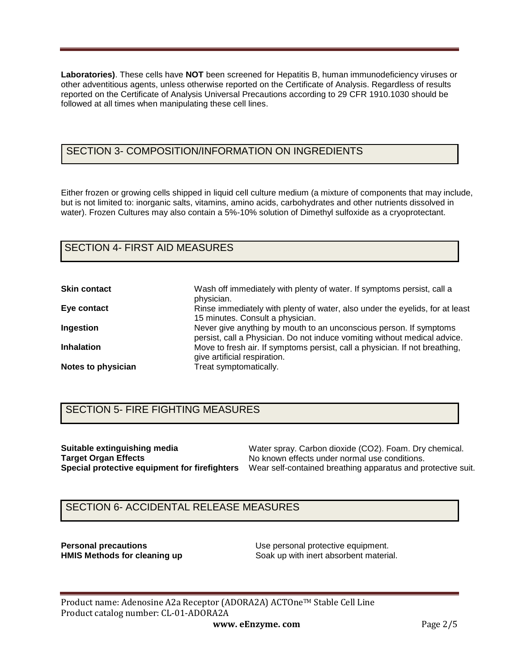**Laboratories)**. These cells have **NOT** been screened for Hepatitis B, human immunodeficiency viruses or other adventitious agents, unless otherwise reported on the Certificate of Analysis. Regardless of results reported on the Certificate of Analysis Universal Precautions according to 29 CFR 1910.1030 should be followed at all times when manipulating these cell lines.

# SECTION 3- COMPOSITION/INFORMATION ON INGREDIENTS

Either frozen or growing cells shipped in liquid cell culture medium (a mixture of components that may include, but is not limited to: inorganic salts, vitamins, amino acids, carbohydrates and other nutrients dissolved in water). Frozen Cultures may also contain a 5%-10% solution of Dimethyl sulfoxide as a cryoprotectant.

### SECTION 4- FIRST AID MEASURES

| <b>Skin contact</b> | Wash off immediately with plenty of water. If symptoms persist, call a<br>physician.                                                            |
|---------------------|-------------------------------------------------------------------------------------------------------------------------------------------------|
| Eye contact         | Rinse immediately with plenty of water, also under the eyelids, for at least<br>15 minutes. Consult a physician.                                |
| Ingestion           | Never give anything by mouth to an unconscious person. If symptoms<br>persist, call a Physician. Do not induce vomiting without medical advice. |
| <b>Inhalation</b>   | Move to fresh air. If symptoms persist, call a physician. If not breathing,<br>give artificial respiration.                                     |
| Notes to physician  | Treat symptomatically.                                                                                                                          |

## SECTION 5- FIRE FIGHTING MEASURES

**Suitable extinguishing media Target Organ Effects**

**Special protective equipment for firefighters**  Wear self-contained breathing apparatus and protective suit. Water spray. Carbon dioxide (CO2). Foam. Dry chemical. No known effects under normal use conditions.

# SECTION 6- ACCIDENTAL RELEASE MEASURES

**Personal precautions**<br> **HMIS Methods for cleaning up**<br> **Coak up with inert absorbent material** Soak up with inert absorbent material.

Product name: Adenosine A2a Receptor (ADORA2A) ACTOne™ Stable Cell Line Product catalog number: CL-01-ADORA2A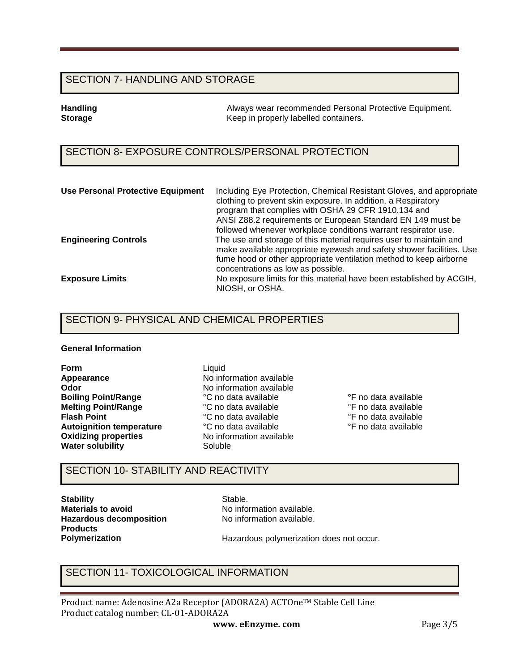### SECTION 7- HANDLING AND STORAGE

**Handling Tandling 1986** Always wear recommended Personal Protective Equipment.<br> **Storage** The Reep in properly labelled containers. **Storage** Keep in properly labelled containers.

## SECTION 8- EXPOSURE CONTROLS/PERSONAL PROTECTION

| <b>Use Personal Protective Equipment</b> | Including Eye Protection, Chemical Resistant Gloves, and appropriate<br>clothing to prevent skin exposure. In addition, a Respiratory<br>program that complies with OSHA 29 CFR 1910.134 and<br>ANSI Z88.2 requirements or European Standard EN 149 must be<br>followed whenever workplace conditions warrant respirator use. |
|------------------------------------------|-------------------------------------------------------------------------------------------------------------------------------------------------------------------------------------------------------------------------------------------------------------------------------------------------------------------------------|
| <b>Engineering Controls</b>              | The use and storage of this material requires user to maintain and<br>make available appropriate eyewash and safety shower facilities. Use<br>fume hood or other appropriate ventilation method to keep airborne<br>concentrations as low as possible.                                                                        |
| <b>Exposure Limits</b>                   | No exposure limits for this material have been established by ACGIH,<br>NIOSH, or OSHA.                                                                                                                                                                                                                                       |

### SECTION 9- PHYSICAL AND CHEMICAL PROPERTIES

#### **General Information**

**Form Appearance Odor Boiling Point/Range Melting Point/Range Flash Point Autoignition temperature Oxidizing properties Water solubility**

Liquid No information available No information available °C no data available °C no data available °C no data available °C no data available No information available Soluble

**°**F no data available °F no data available °F no data available °F no data available

## SECTION 10- STABILITY AND REACTIVITY

**Stability Materials to avoid Hazardous decomposition Products Polymerization** 

Stable. No information available. No information available.

Hazardous polymerization does not occur.

## SECTION 11- TOXICOLOGICAL INFORMATION

Product name: Adenosine A2a Receptor (ADORA2A) ACTOne™ Stable Cell Line Product catalog number: CL-01-ADORA2A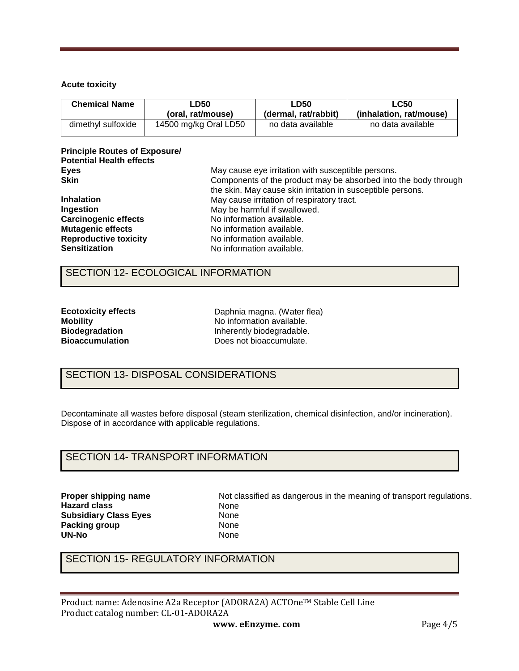### **Acute toxicity**

| <b>Chemical Name</b> | ∟D50                  | <b>LD50</b>          | LC50                    |  |
|----------------------|-----------------------|----------------------|-------------------------|--|
|                      | (oral. rat/mouse)     | (dermal, rat/rabbit) | (inhalation. rat/mouse) |  |
| dimethyl sulfoxide   | 14500 mg/kg Oral LD50 | no data available    | no data available       |  |

### **Principle Routes of Exposure/ Potential Health effects Eyes Skin**

| <b>Skin</b>                  | Components of the product may be absorbed into the body through |
|------------------------------|-----------------------------------------------------------------|
|                              | the skin. May cause skin irritation in susceptible persons.     |
| <b>Inhalation</b>            | May cause irritation of respiratory tract.                      |
| Ingestion                    | May be harmful if swallowed.                                    |
| <b>Carcinogenic effects</b>  | No information available.                                       |
| <b>Mutagenic effects</b>     | No information available.                                       |
| <b>Reproductive toxicity</b> | No information available.                                       |
| <b>Sensitization</b>         | No information available.                                       |
|                              |                                                                 |

May cause eye irritation with susceptible persons.

### SECTION 12- ECOLOGICAL INFORMATION

| <b>Ecotoxicity effects</b> |
|----------------------------|
| <b>Mobility</b>            |
| <b>Biodegradation</b>      |
| <b>Bioaccumulation</b>     |

Daphnia magna. (Water flea) No information available. Inherently biodegradable. Does not bioaccumulate.

# SECTION 13- DISPOSAL CONSIDERATIONS

Decontaminate all wastes before disposal (steam sterilization, chemical disinfection, and/or incineration). Dispose of in accordance with applicable regulations.

## SECTION 14- TRANSPORT INFORMATION

**Proper shipping name Hazard class Subsidiary Class Eyes Packing group UN-No** 

Not classified as dangerous in the meaning of transport regulations. None None None None

# SECTION 15- REGULATORY INFORMATION

Product name: Adenosine A2a Receptor (ADORA2A) ACTOne™ Stable Cell Line Product catalog number: CL-01-ADORA2A